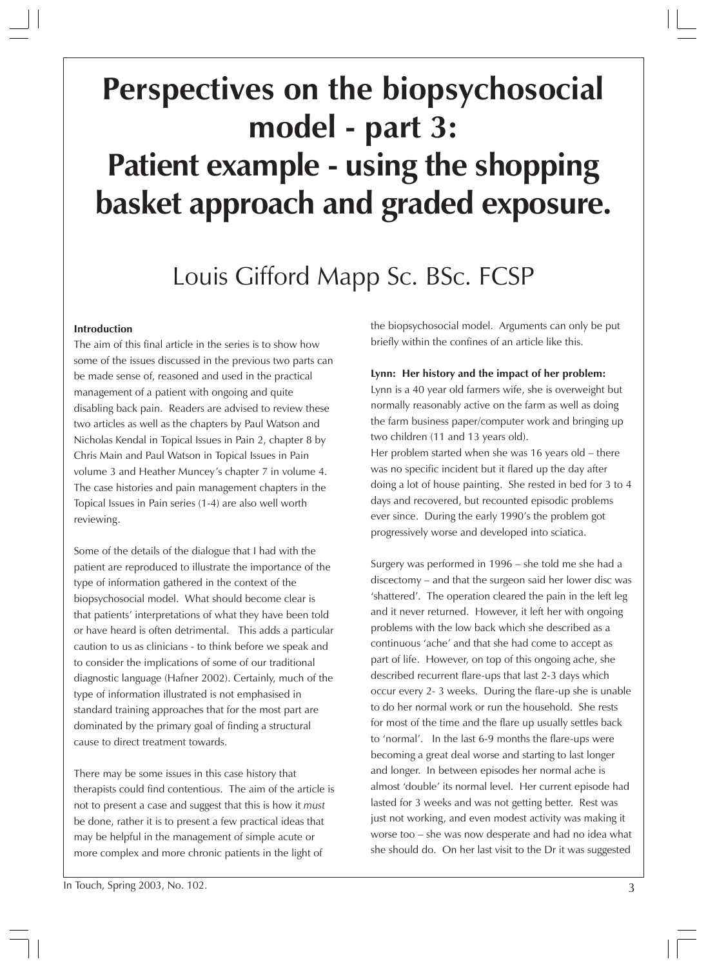# **Perspectives on the biopsychosocial model - part 3: Patient example - using the shopping basket approach and graded exposure.**

# Louis Gifford Mapp Sc. BSc. FCSP

# **Introduction**

The aim of this final article in the series is to show how some of the issues discussed in the previous two parts can be made sense of, reasoned and used in the practical management of a patient with ongoing and quite disabling back pain. Readers are advised to review these two articles as well as the chapters by Paul Watson and Nicholas Kendal in Topical Issues in Pain 2, chapter 8 by Chris Main and Paul Watson in Topical Issues in Pain volume 3 and Heather Muncey's chapter 7 in volume 4. The case histories and pain management chapters in the Topical Issues in Pain series (1-4) are also well worth reviewing.

Some of the details of the dialogue that I had with the patient are reproduced to illustrate the importance of the type of information gathered in the context of the biopsychosocial model. What should become clear is that patients' interpretations of what they have been told or have heard is often detrimental. This adds a particular caution to us as clinicians - to think before we speak and to consider the implications of some of our traditional diagnostic language (Hafner 2002). Certainly, much of the type of information illustrated is not emphasised in standard training approaches that for the most part are dominated by the primary goal of finding a structural cause to direct treatment towards.

There may be some issues in this case history that therapists could find contentious. The aim of the article is not to present a case and suggest that this is how it *must* be done, rather it is to present a few practical ideas that may be helpful in the management of simple acute or more complex and more chronic patients in the light of

the biopsychosocial model. Arguments can only be put briefly within the confines of an article like this.

#### **Lynn: Her history and the impact of her problem:**

Lynn is a 40 year old farmers wife, she is overweight but normally reasonably active on the farm as well as doing the farm business paper/computer work and bringing up two children (11 and 13 years old). Her problem started when she was 16 years old – there was no specific incident but it flared up the day after doing a lot of house painting. She rested in bed for 3 to 4 days and recovered, but recounted episodic problems ever since. During the early 1990's the problem got progressively worse and developed into sciatica.

Surgery was performed in 1996 – she told me she had a discectomy – and that the surgeon said her lower disc was 'shattered'. The operation cleared the pain in the left leg and it never returned. However, it left her with ongoing problems with the low back which she described as a continuous 'ache' and that she had come to accept as part of life. However, on top of this ongoing ache, she described recurrent flare-ups that last 2-3 days which occur every 2- 3 weeks. During the flare-up she is unable to do her normal work or run the household. She rests for most of the time and the flare up usually settles back to 'normal'. In the last 6-9 months the flare-ups were becoming a great deal worse and starting to last longer and longer. In between episodes her normal ache is almost 'double' its normal level. Her current episode had lasted for 3 weeks and was not getting better. Rest was just not working, and even modest activity was making it worse too – she was now desperate and had no idea what she should do. On her last visit to the Dr it was suggested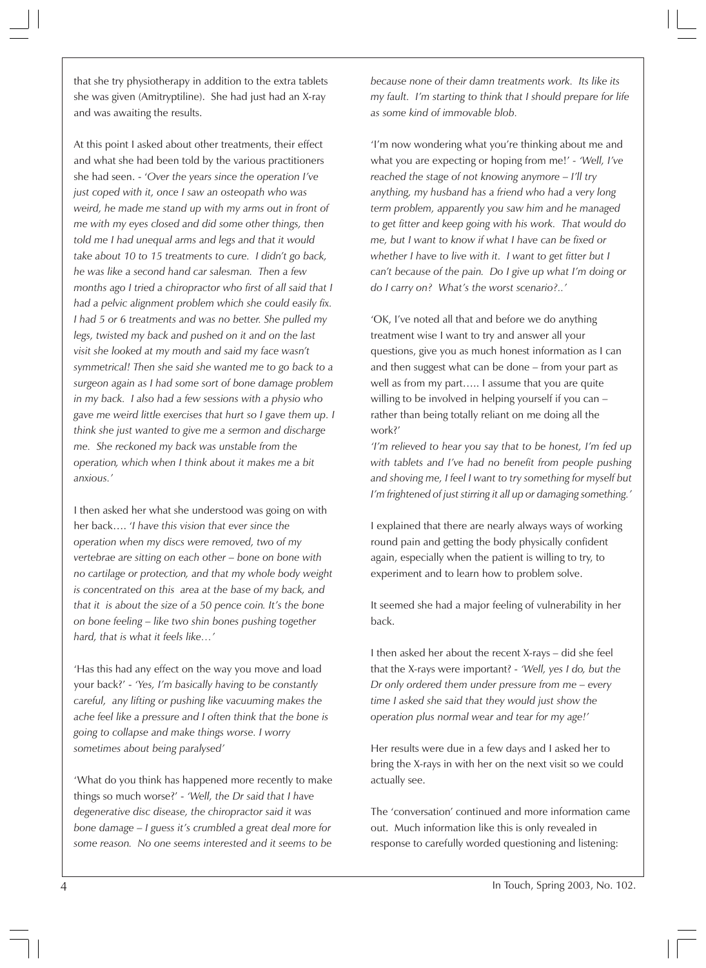that she try physiotherapy in addition to the extra tablets she was given (Amitryptiline). She had just had an X-ray and was awaiting the results.

At this point I asked about other treatments, their effect and what she had been told by the various practitioners she had seen. - '*Over the years since the operation I've just coped with it, once I saw an osteopath who was weird, he made me stand up with my arms out in front of me with my eyes closed and did some other things, then told me I had unequal arms and legs and that it would take about 10 to 15 treatments to cure. I didn't go back, he was like a second hand car salesman. Then a few months ago I tried a chiropractor who first of all said that I had a pelvic alignment problem which she could easily fix. I had 5 or 6 treatments and was no better. She pulled my legs, twisted my back and pushed on it and on the last visit she looked at my mouth and said my face wasn't symmetrical! Then she said she wanted me to go back to a surgeon again as I had some sort of bone damage problem in my back. I also had a few sessions with a physio who gave me weird little exercises that hurt so I gave them up. I think she just wanted to give me a sermon and discharge me. She reckoned my back was unstable from the operation, which when I think about it makes me a bit anxious.'*

I then asked her what she understood was going on with her back…. '*I have this vision that ever since the operation when my discs were removed, two of my vertebrae are sitting on each other – bone on bone with no cartilage or protection, and that my whole body weight is concentrated on this area at the base of my back, and that it is about the size of a 50 pence coin. It's the bone on bone feeling – like two shin bones pushing together hard, that is what it feels like…'*

'Has this had any effect on the way you move and load your back?' - *'Yes, I'm basically having to be constantly careful, any lifting or pushing like vacuuming makes the ache feel like a pressure and I often think that the bone is going to collapse and make things worse. I worry sometimes about being paralysed'*

'What do you think has happened more recently to make things so much worse?' - *'Well, the Dr said that I have degenerative disc disease, the chiropractor said it was bone damage – I guess it's crumbled a great deal more for some reason. No one seems interested and it seems to be*

*because none of their damn treatments work. Its like its my fault. I'm starting to think that I should prepare for life as some kind of immovable blob.*

'I'm now wondering what you're thinking about me and what you are expecting or hoping from me!' *- 'Well, I've reached the stage of not knowing anymore – I'll try anything, my husband has a friend who had a very long term problem, apparently you saw him and he managed to get fitter and keep going with his work. That would do me, but I want to know if what I have can be fixed or whether I have to live with it. I want to get fitter but I can't because of the pain. Do I give up what I'm doing or do I carry on? What's the worst scenario?..'*

'OK, I've noted all that and before we do anything treatment wise I want to try and answer all your questions, give you as much honest information as I can and then suggest what can be done – from your part as well as from my part….. I assume that you are quite willing to be involved in helping yourself if you can rather than being totally reliant on me doing all the work?'

*'I'm relieved to hear you say that to be honest, I'm fed up with tablets and I've had no benefit from people pushing and shoving me, I feel I want to try something for myself but I'm frightened of just stirring it all up or damaging something.'*

I explained that there are nearly always ways of working round pain and getting the body physically confident again, especially when the patient is willing to try, to experiment and to learn how to problem solve.

It seemed she had a major feeling of vulnerability in her back.

I then asked her about the recent X-rays – did she feel that the X-rays were important? - *'Well, yes I do, but the Dr only ordered them under pressure from me – every time I asked she said that they would just show the operation plus normal wear and tear for my age!'*

Her results were due in a few days and I asked her to bring the X-rays in with her on the next visit so we could actually see.

The 'conversation' continued and more information came out. Much information like this is only revealed in response to carefully worded questioning and listening: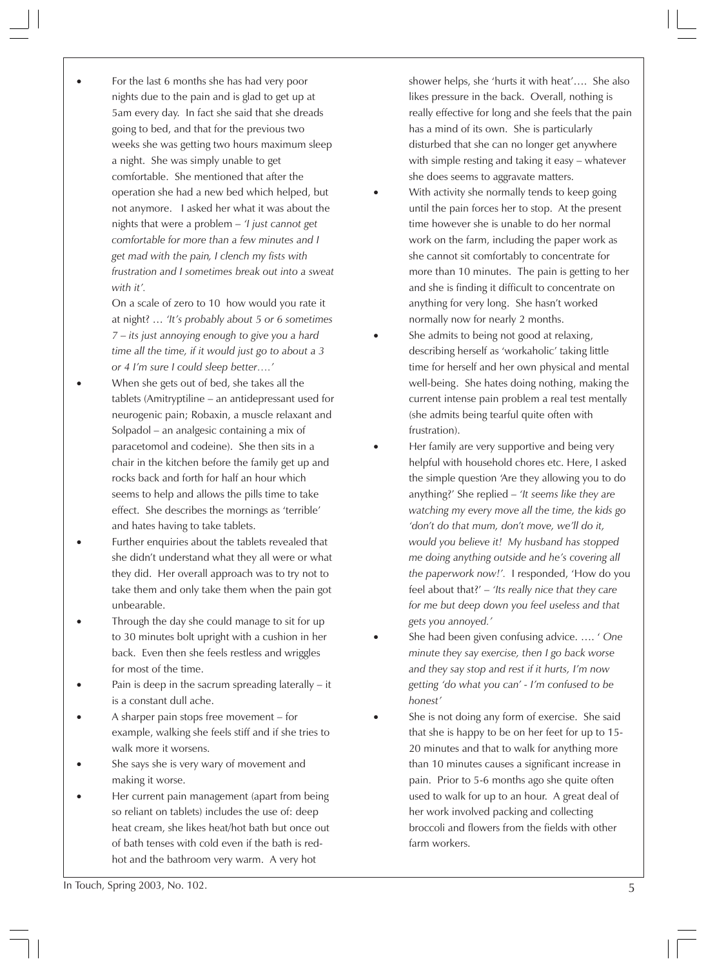• For the last 6 months she has had very poor nights due to the pain and is glad to get up at 5am every day. In fact she said that she dreads going to bed, and that for the previous two weeks she was getting two hours maximum sleep a night. She was simply unable to get comfortable. She mentioned that after the operation she had a new bed which helped, but not anymore. I asked her what it was about the nights that were a problem – *'I just cannot get comfortable for more than a few minutes and I get mad with the pain, I clench my fists with frustration and I sometimes break out into a sweat with it'.*

> On a scale of zero to 10 how would you rate it at night? … *'It's probably about 5 or 6 sometimes 7 – its just annoying enough to give you a hard time all the time, if it would just go to about a 3 or 4 I'm sure I could sleep better….'*

- When she gets out of bed, she takes all the tablets (Amitryptiline – an antidepressant used for neurogenic pain; Robaxin, a muscle relaxant and Solpadol – an analgesic containing a mix of paracetomol and codeine). She then sits in a chair in the kitchen before the family get up and rocks back and forth for half an hour which seems to help and allows the pills time to take effect. She describes the mornings as 'terrible' and hates having to take tablets.
- Further enquiries about the tablets revealed that she didn't understand what they all were or what they did. Her overall approach was to try not to take them and only take them when the pain got unbearable.
- Through the day she could manage to sit for up to 30 minutes bolt upright with a cushion in her back. Even then she feels restless and wriggles for most of the time.
- Pain is deep in the sacrum spreading laterally it is a constant dull ache.
- A sharper pain stops free movement for example, walking she feels stiff and if she tries to walk more it worsens.
- She says she is very wary of movement and making it worse.
- Her current pain management (apart from being so reliant on tablets) includes the use of: deep heat cream, she likes heat/hot bath but once out of bath tenses with cold even if the bath is redhot and the bathroom very warm. A very hot

shower helps, she 'hurts it with heat'…. She also likes pressure in the back. Overall, nothing is really effective for long and she feels that the pain has a mind of its own. She is particularly disturbed that she can no longer get anywhere with simple resting and taking it easy – whatever she does seems to aggravate matters.

- With activity she normally tends to keep going until the pain forces her to stop. At the present time however she is unable to do her normal work on the farm, including the paper work as she cannot sit comfortably to concentrate for more than 10 minutes. The pain is getting to her and she is finding it difficult to concentrate on anything for very long. She hasn't worked normally now for nearly 2 months.
- She admits to being not good at relaxing, describing herself as 'workaholic' taking little time for herself and her own physical and mental well-being. She hates doing nothing, making the current intense pain problem a real test mentally (she admits being tearful quite often with frustration).
- Her family are very supportive and being very helpful with household chores etc. Here, I asked the simple question 'Are they allowing you to do anything?' She replied – *'It seems like they are watching my every move all the time, the kids go 'don't do that mum, don't move, we'll do it, would you believe it! My husband has stopped me doing anything outside and he's covering all the paperwork now!'.* I responded, 'How do you feel about that?' – *'Its really nice that they care for me but deep down you feel useless and that gets you annoyed.'*
- She had been given confusing advice. …. ' *One minute they say exercise, then I go back worse and they say stop and rest if it hurts, I'm now getting 'do what you can' - I'm confused to be honest'*
- She is not doing any form of exercise. She said that she is happy to be on her feet for up to 15- 20 minutes and that to walk for anything more than 10 minutes causes a significant increase in pain. Prior to 5-6 months ago she quite often used to walk for up to an hour. A great deal of her work involved packing and collecting broccoli and flowers from the fields with other farm workers.

In Touch, Spring 2003, No. 102. 5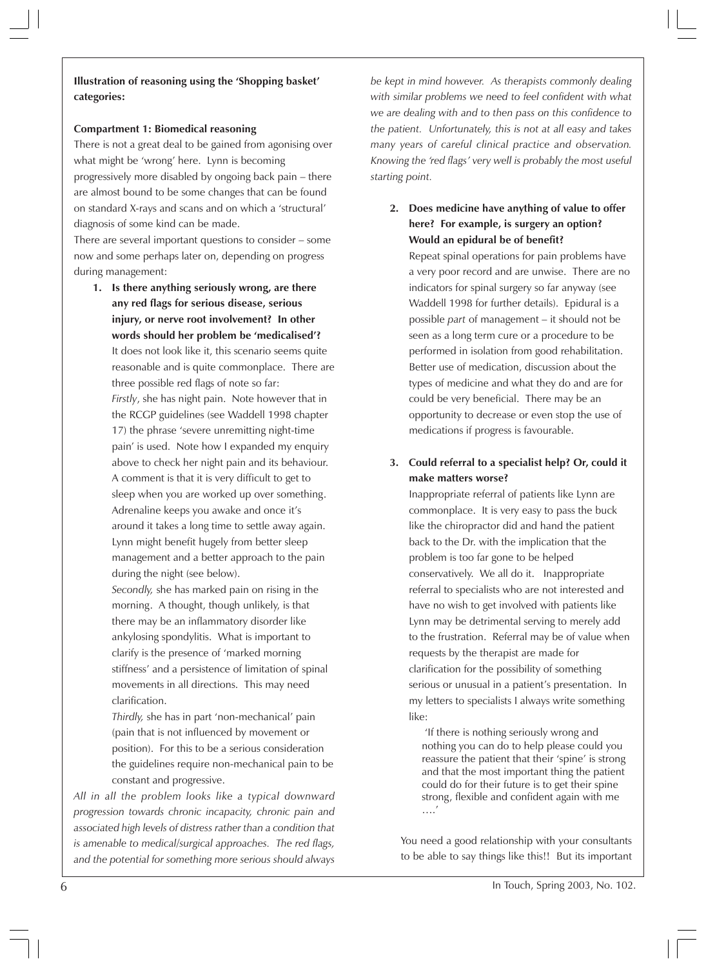# **Illustration of reasoning using the 'Shopping basket' categories:**

#### **Compartment 1: Biomedical reasoning**

There is not a great deal to be gained from agonising over what might be 'wrong' here. Lynn is becoming progressively more disabled by ongoing back pain – there are almost bound to be some changes that can be found on standard X-rays and scans and on which a 'structural' diagnosis of some kind can be made.

There are several important questions to consider – some now and some perhaps later on, depending on progress during management:

**1. Is there anything seriously wrong, are there any red flags for serious disease, serious injury, or nerve root involvement? In other words should her problem be 'medicalised'?** It does not look like it, this scenario seems quite reasonable and is quite commonplace. There are three possible red flags of note so far: *Firstly*, she has night pain. Note however that in the RCGP guidelines (see Waddell 1998 chapter 17) the phrase 'severe unremitting night-time pain' is used. Note how I expanded my enquiry above to check her night pain and its behaviour. A comment is that it is very difficult to get to sleep when you are worked up over something. Adrenaline keeps you awake and once it's around it takes a long time to settle away again. Lynn might benefit hugely from better sleep management and a better approach to the pain during the night (see below).

*Secondly,* she has marked pain on rising in the morning. A thought, though unlikely, is that there may be an inflammatory disorder like ankylosing spondylitis. What is important to clarify is the presence of 'marked morning stiffness' and a persistence of limitation of spinal movements in all directions. This may need clarification.

*Thirdly,* she has in part 'non-mechanical' pain (pain that is not influenced by movement or position). For this to be a serious consideration the guidelines require non-mechanical pain to be constant and progressive.

*All in all the problem looks like a typical downward progression towards chronic incapacity, chronic pain and associated high levels of distress rather than a condition that is amenable to medical/surgical approaches. The red flags, and the potential for something more serious should always* *be kept in mind however. As therapists commonly dealing with similar problems we need to feel confident with what we are dealing with and to then pass on this confidence to the patient. Unfortunately, this is not at all easy and takes many years of careful clinical practice and observation. Knowing the 'red flags' very well is probably the most useful starting point.*

**2. Does medicine have anything of value to offer here? For example, is surgery an option? Would an epidural be of benefit?** Repeat spinal operations for pain problems have

a very poor record and are unwise. There are no indicators for spinal surgery so far anyway (see Waddell 1998 for further details). Epidural is a possible *part* of management – it should not be seen as a long term cure or a procedure to be performed in isolation from good rehabilitation. Better use of medication, discussion about the types of medicine and what they do and are for could be very beneficial. There may be an opportunity to decrease or even stop the use of medications if progress is favourable.

# **3. Could referral to a specialist help? Or, could it make matters worse?**

Inappropriate referral of patients like Lynn are commonplace. It is very easy to pass the buck like the chiropractor did and hand the patient back to the Dr. with the implication that the problem is too far gone to be helped conservatively. We all do it. Inappropriate referral to specialists who are not interested and have no wish to get involved with patients like Lynn may be detrimental serving to merely add to the frustration. Referral may be of value when requests by the therapist are made for clarification for the possibility of something serious or unusual in a patient's presentation. In my letters to specialists I always write something like:

 'If there is nothing seriously wrong and nothing you can do to help please could you reassure the patient that their 'spine' is strong and that the most important thing the patient could do for their future is to get their spine strong, flexible and confident again with me ….'

You need a good relationship with your consultants to be able to say things like this!! But its important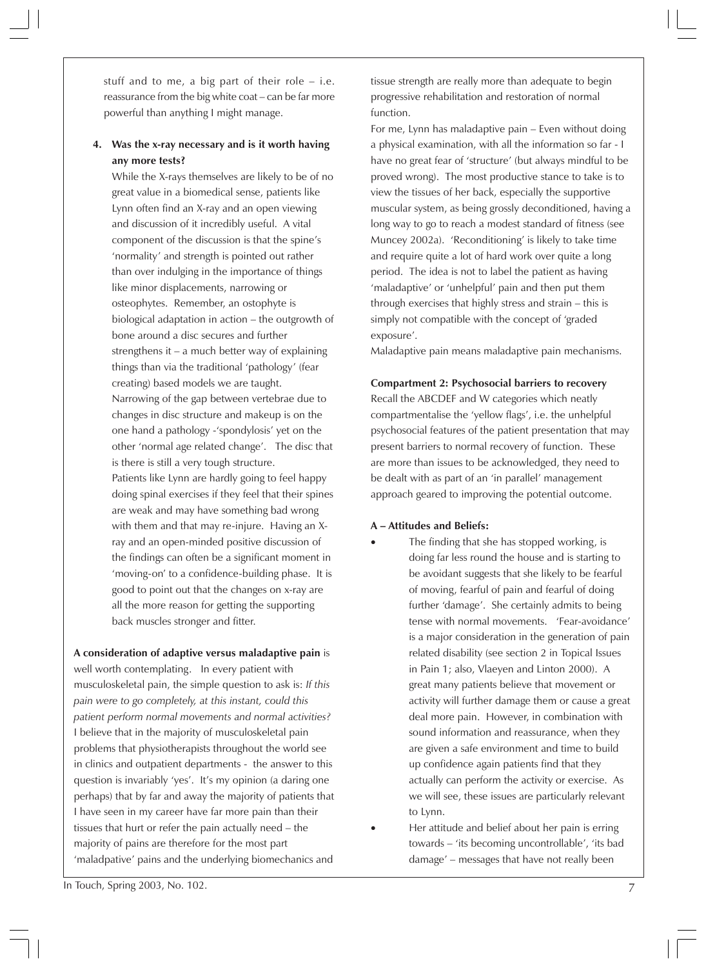stuff and to me, a big part of their role – i.e. reassurance from the big white coat – can be far more powerful than anything I might manage.

# **4. Was the x-ray necessary and is it worth having any more tests?**

While the X-rays themselves are likely to be of no great value in a biomedical sense, patients like Lynn often find an X-ray and an open viewing and discussion of it incredibly useful. A vital component of the discussion is that the spine's 'normality' and strength is pointed out rather than over indulging in the importance of things like minor displacements, narrowing or osteophytes. Remember, an ostophyte is biological adaptation in action – the outgrowth of bone around a disc secures and further strengthens it – a much better way of explaining things than via the traditional 'pathology' (fear creating) based models we are taught. Narrowing of the gap between vertebrae due to changes in disc structure and makeup is on the one hand a pathology -'spondylosis' yet on the other 'normal age related change'. The disc that is there is still a very tough structure. Patients like Lynn are hardly going to feel happy doing spinal exercises if they feel that their spines are weak and may have something bad wrong with them and that may re-injure. Having an Xray and an open-minded positive discussion of the findings can often be a significant moment in 'moving-on' to a confidence-building phase. It is good to point out that the changes on x-ray are all the more reason for getting the supporting back muscles stronger and fitter.

**A consideration of adaptive versus maladaptive pain** is well worth contemplating. In every patient with musculoskeletal pain, the simple question to ask is: *If this pain were to go completely, at this instant, could this patient perform normal movements and normal activities?* I believe that in the majority of musculoskeletal pain problems that physiotherapists throughout the world see in clinics and outpatient departments - the answer to this question is invariably 'yes'. It's my opinion (a daring one perhaps) that by far and away the majority of patients that I have seen in my career have far more pain than their tissues that hurt or refer the pain actually need – the majority of pains are therefore for the most part 'maladpative' pains and the underlying biomechanics and

tissue strength are really more than adequate to begin progressive rehabilitation and restoration of normal function.

For me, Lynn has maladaptive pain – Even without doing a physical examination, with all the information so far - I have no great fear of 'structure' (but always mindful to be proved wrong). The most productive stance to take is to view the tissues of her back, especially the supportive muscular system, as being grossly deconditioned, having a long way to go to reach a modest standard of fitness (see Muncey 2002a). 'Reconditioning' is likely to take time and require quite a lot of hard work over quite a long period. The idea is not to label the patient as having 'maladaptive' or 'unhelpful' pain and then put them through exercises that highly stress and strain – this is simply not compatible with the concept of 'graded exposure'.

Maladaptive pain means maladaptive pain mechanisms.

# **Compartment 2: Psychosocial barriers to recovery**

Recall the ABCDEF and W categories which neatly compartmentalise the 'yellow flags', i.e. the unhelpful psychosocial features of the patient presentation that may present barriers to normal recovery of function. These are more than issues to be acknowledged, they need to be dealt with as part of an 'in parallel' management approach geared to improving the potential outcome.

# **A – Attitudes and Beliefs:**

- The finding that she has stopped working, is doing far less round the house and is starting to be avoidant suggests that she likely to be fearful of moving, fearful of pain and fearful of doing further 'damage'. She certainly admits to being tense with normal movements. 'Fear-avoidance' is a major consideration in the generation of pain related disability (see section 2 in Topical Issues in Pain 1; also, Vlaeyen and Linton 2000). A great many patients believe that movement or activity will further damage them or cause a great deal more pain. However, in combination with sound information and reassurance, when they are given a safe environment and time to build up confidence again patients find that they actually can perform the activity or exercise. As we will see, these issues are particularly relevant to Lynn.
- Her attitude and belief about her pain is erring towards – 'its becoming uncontrollable', 'its bad damage' – messages that have not really been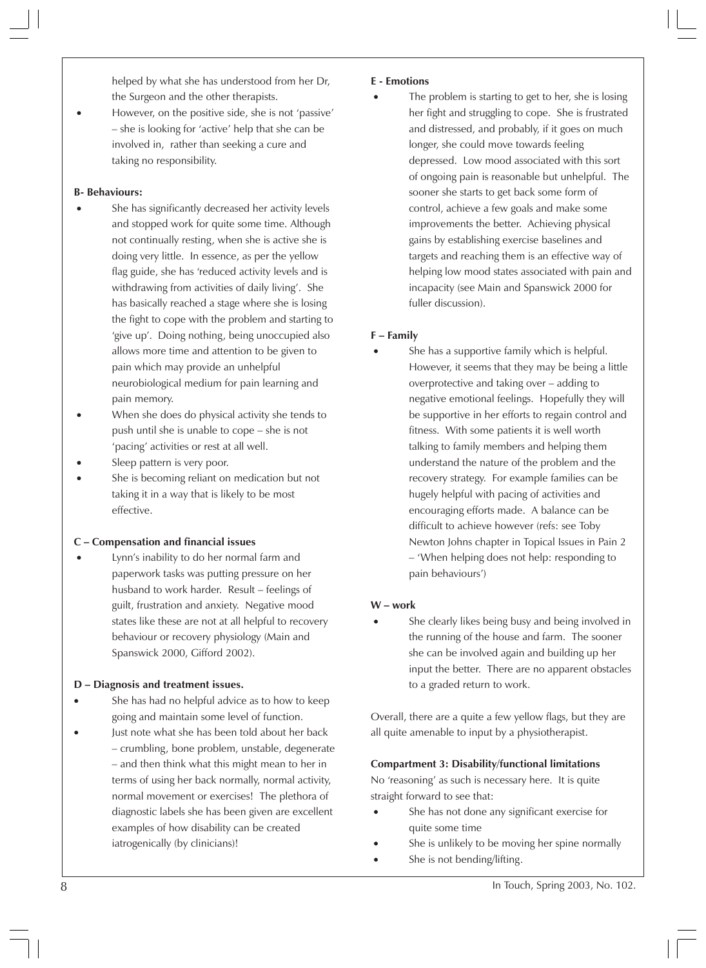helped by what she has understood from her Dr, the Surgeon and the other therapists.

 • However, on the positive side, she is not 'passive' – she is looking for 'active' help that she can be involved in, rather than seeking a cure and taking no responsibility.

#### **B- Behaviours:**

- She has significantly decreased her activity levels and stopped work for quite some time. Although not continually resting, when she is active she is doing very little. In essence, as per the yellow flag guide, she has 'reduced activity levels and is withdrawing from activities of daily living'. She has basically reached a stage where she is losing the fight to cope with the problem and starting to 'give up'. Doing nothing, being unoccupied also allows more time and attention to be given to pain which may provide an unhelpful neurobiological medium for pain learning and pain memory.
- When she does do physical activity she tends to push until she is unable to cope – she is not 'pacing' activities or rest at all well.
- Sleep pattern is very poor.
- She is becoming reliant on medication but not taking it in a way that is likely to be most effective.

# **C – Compensation and financial issues**

 • Lynn's inability to do her normal farm and paperwork tasks was putting pressure on her husband to work harder. Result – feelings of guilt, frustration and anxiety. Negative mood states like these are not at all helpful to recovery behaviour or recovery physiology (Main and Spanswick 2000, Gifford 2002).

# **D – Diagnosis and treatment issues.**

- She has had no helpful advice as to how to keep going and maintain some level of function.
- Just note what she has been told about her back – crumbling, bone problem, unstable, degenerate – and then think what this might mean to her in terms of using her back normally, normal activity, normal movement or exercises! The plethora of diagnostic labels she has been given are excellent examples of how disability can be created iatrogenically (by clinicians)!

#### **E - Emotions**

The problem is starting to get to her, she is losing her fight and struggling to cope. She is frustrated and distressed, and probably, if it goes on much longer, she could move towards feeling depressed. Low mood associated with this sort of ongoing pain is reasonable but unhelpful. The sooner she starts to get back some form of control, achieve a few goals and make some improvements the better. Achieving physical gains by establishing exercise baselines and targets and reaching them is an effective way of helping low mood states associated with pain and incapacity (see Main and Spanswick 2000 for fuller discussion).

# **F – Family**

She has a supportive family which is helpful. However, it seems that they may be being a little overprotective and taking over – adding to negative emotional feelings. Hopefully they will be supportive in her efforts to regain control and fitness. With some patients it is well worth talking to family members and helping them understand the nature of the problem and the recovery strategy. For example families can be hugely helpful with pacing of activities and encouraging efforts made. A balance can be difficult to achieve however (refs: see Toby Newton Johns chapter in Topical Issues in Pain 2 – 'When helping does not help: responding to pain behaviours')

# **W – work**

She clearly likes being busy and being involved in the running of the house and farm. The sooner she can be involved again and building up her input the better. There are no apparent obstacles to a graded return to work.

Overall, there are a quite a few yellow flags, but they are all quite amenable to input by a physiotherapist.

#### **Compartment 3: Disability/functional limitations**

No 'reasoning' as such is necessary here. It is quite straight forward to see that:

- She has not done any significant exercise for quite some time
- She is unlikely to be moving her spine normally
- She is not bending/lifting.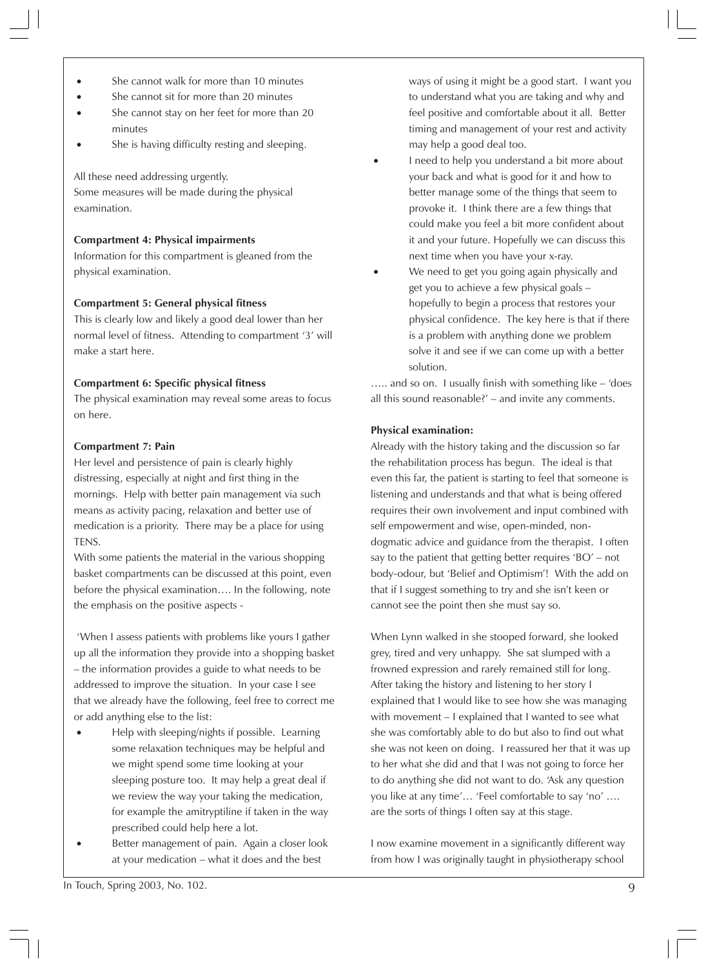- She cannot walk for more than 10 minutes
- She cannot sit for more than 20 minutes
- She cannot stay on her feet for more than 20 minutes
- She is having difficulty resting and sleeping.

All these need addressing urgently. Some measures will be made during the physical examination.

#### **Compartment 4: Physical impairments**

Information for this compartment is gleaned from the physical examination.

#### **Compartment 5: General physical fitness**

This is clearly low and likely a good deal lower than her normal level of fitness. Attending to compartment '3' will make a start here.

#### **Compartment 6: Specific physical fitness**

The physical examination may reveal some areas to focus on here.

#### **Compartment 7: Pain**

Her level and persistence of pain is clearly highly distressing, especially at night and first thing in the mornings. Help with better pain management via such means as activity pacing, relaxation and better use of medication is a priority. There may be a place for using TENS.

With some patients the material in the various shopping basket compartments can be discussed at this point, even before the physical examination…. In the following, note the emphasis on the positive aspects -

 'When I assess patients with problems like yours I gather up all the information they provide into a shopping basket – the information provides a guide to what needs to be addressed to improve the situation. In your case I see that we already have the following, feel free to correct me or add anything else to the list:

- Help with sleeping/nights if possible. Learning some relaxation techniques may be helpful and we might spend some time looking at your sleeping posture too. It may help a great deal if we review the way your taking the medication, for example the amitryptiline if taken in the way prescribed could help here a lot.
- Better management of pain. Again a closer look at your medication – what it does and the best

ways of using it might be a good start. I want you to understand what you are taking and why and feel positive and comfortable about it all. Better timing and management of your rest and activity may help a good deal too.

- I need to help you understand a bit more about your back and what is good for it and how to better manage some of the things that seem to provoke it. I think there are a few things that could make you feel a bit more confident about it and your future. Hopefully we can discuss this next time when you have your x-ray.
- We need to get you going again physically and get you to achieve a few physical goals – hopefully to begin a process that restores your physical confidence. The key here is that if there is a problem with anything done we problem solve it and see if we can come up with a better solution.

….. and so on. I usually finish with something like – 'does all this sound reasonable?' – and invite any comments.

#### **Physical examination:**

Already with the history taking and the discussion so far the rehabilitation process has begun. The ideal is that even this far, the patient is starting to feel that someone is listening and understands and that what is being offered requires their own involvement and input combined with self empowerment and wise, open-minded, nondogmatic advice and guidance from the therapist. I often say to the patient that getting better requires 'BO' – not body-odour, but 'Belief and Optimism'! With the add on that if I suggest something to try and she isn't keen or cannot see the point then she must say so.

When Lynn walked in she stooped forward, she looked grey, tired and very unhappy. She sat slumped with a frowned expression and rarely remained still for long. After taking the history and listening to her story I explained that I would like to see how she was managing with movement – I explained that I wanted to see what she was comfortably able to do but also to find out what she was not keen on doing. I reassured her that it was up to her what she did and that I was not going to force her to do anything she did not want to do. 'Ask any question you like at any time'… 'Feel comfortable to say 'no' …. are the sorts of things I often say at this stage.

I now examine movement in a significantly different way from how I was originally taught in physiotherapy school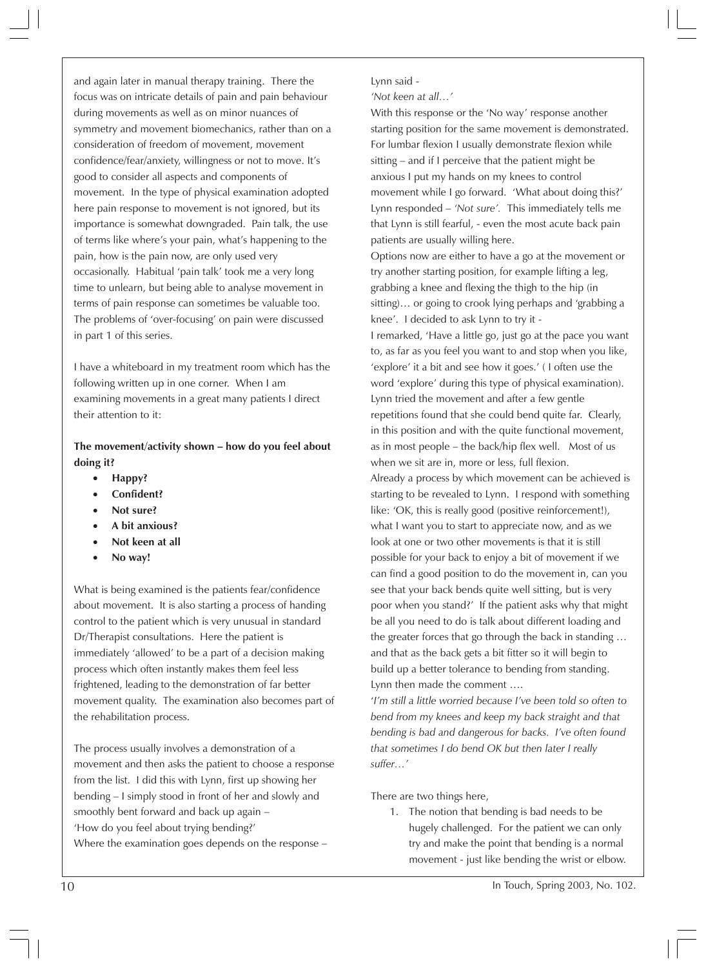and again later in manual therapy training. There the focus was on intricate details of pain and pain behaviour during movements as well as on minor nuances of symmetry and movement biomechanics, rather than on a consideration of freedom of movement, movement confidence/fear/anxiety, willingness or not to move. It's good to consider all aspects and components of movement. In the type of physical examination adopted here pain response to movement is not ignored, but its importance is somewhat downgraded. Pain talk, the use of terms like where's your pain, what's happening to the pain, how is the pain now, are only used very occasionally. Habitual 'pain talk' took me a very long time to unlearn, but being able to analyse movement in terms of pain response can sometimes be valuable too. The problems of 'over-focusing' on pain were discussed in part 1 of this series.

I have a whiteboard in my treatment room which has the following written up in one corner. When I am examining movements in a great many patients I direct their attention to it:

# **The movement/activity shown – how do you feel about doing it?**

- **Happy?**
- **Confident?**
- **Not sure?**
- **A bit anxious?**
- **Not keen at all**
- **No way!**

What is being examined is the patients fear/confidence about movement. It is also starting a process of handing control to the patient which is very unusual in standard Dr/Therapist consultations. Here the patient is immediately 'allowed' to be a part of a decision making process which often instantly makes them feel less frightened, leading to the demonstration of far better movement quality. The examination also becomes part of the rehabilitation process.

The process usually involves a demonstration of a movement and then asks the patient to choose a response from the list. I did this with Lynn, first up showing her bending – I simply stood in front of her and slowly and smoothly bent forward and back up again – 'How do you feel about trying bending?' Where the examination goes depends on the response –

Lynn said - *'Not keen at all…'*

With this response or the 'No way' response another starting position for the same movement is demonstrated. For lumbar flexion I usually demonstrate flexion while sitting – and if I perceive that the patient might be anxious I put my hands on my knees to control movement while I go forward. 'What about doing this?' Lynn responded – *'Not sure'.* This immediately tells me that Lynn is still fearful, - even the most acute back pain patients are usually willing here.

Options now are either to have a go at the movement or try another starting position, for example lifting a leg, grabbing a knee and flexing the thigh to the hip (in sitting)… or going to crook lying perhaps and 'grabbing a knee'. I decided to ask Lynn to try it -

I remarked, 'Have a little go, just go at the pace you want to, as far as you feel you want to and stop when you like, 'explore' it a bit and see how it goes.' ( I often use the word 'explore' during this type of physical examination). Lynn tried the movement and after a few gentle repetitions found that she could bend quite far. Clearly, in this position and with the quite functional movement, as in most people – the back/hip flex well. Most of us when we sit are in, more or less, full flexion. Already a process by which movement can be achieved is starting to be revealed to Lynn. I respond with something like: 'OK, this is really good (positive reinforcement!), what I want you to start to appreciate now, and as we

look at one or two other movements is that it is still possible for your back to enjoy a bit of movement if we can find a good position to do the movement in, can you see that your back bends quite well sitting, but is very poor when you stand?' If the patient asks why that might be all you need to do is talk about different loading and the greater forces that go through the back in standing … and that as the back gets a bit fitter so it will begin to build up a better tolerance to bending from standing. Lynn then made the comment ….

'*I'm still a little worried because I've been told so often to bend from my knees and keep my back straight and that bending is bad and dangerous for backs. I've often found that sometimes I do bend OK but then later I really suffer…'*

There are two things here,

1. The notion that bending is bad needs to be hugely challenged. For the patient we can only try and make the point that bending is a normal movement - just like bending the wrist or elbow.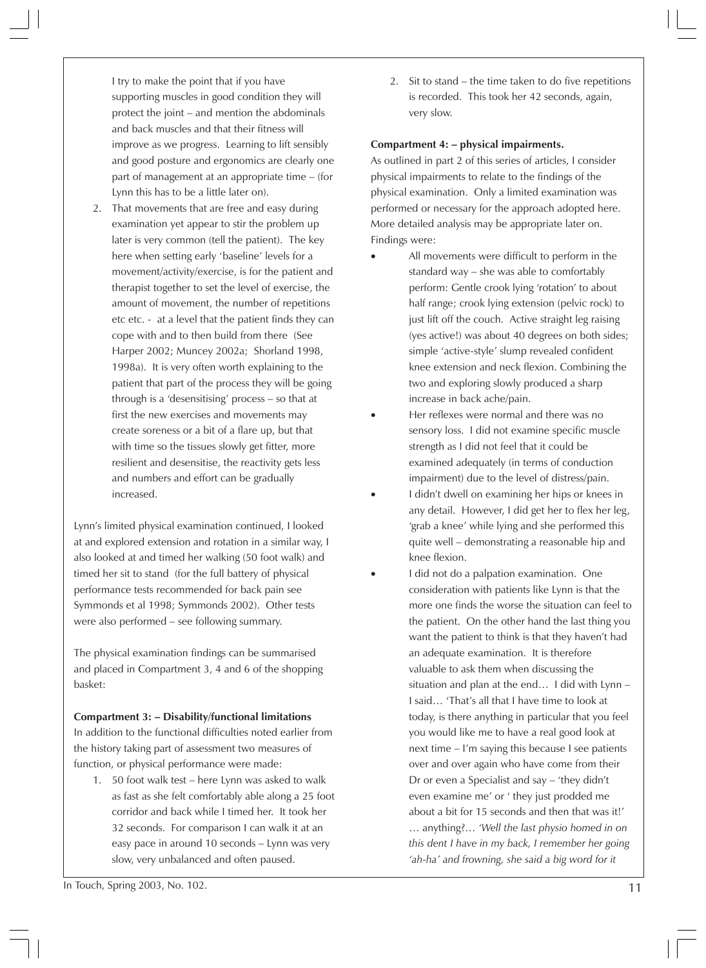I try to make the point that if you have supporting muscles in good condition they will protect the joint – and mention the abdominals and back muscles and that their fitness will improve as we progress. Learning to lift sensibly and good posture and ergonomics are clearly one part of management at an appropriate time – (for Lynn this has to be a little later on).

2. That movements that are free and easy during examination yet appear to stir the problem up later is very common (tell the patient). The key here when setting early 'baseline' levels for a movement/activity/exercise, is for the patient and therapist together to set the level of exercise, the amount of movement, the number of repetitions etc etc. - at a level that the patient finds they can cope with and to then build from there (See Harper 2002; Muncey 2002a; Shorland 1998, 1998a). It is very often worth explaining to the patient that part of the process they will be going through is a 'desensitising' process – so that at first the new exercises and movements may create soreness or a bit of a flare up, but that with time so the tissues slowly get fitter, more resilient and desensitise, the reactivity gets less and numbers and effort can be gradually increased.

Lynn's limited physical examination continued, I looked at and explored extension and rotation in a similar way, I also looked at and timed her walking (50 foot walk) and timed her sit to stand (for the full battery of physical performance tests recommended for back pain see Symmonds et al 1998; Symmonds 2002). Other tests were also performed – see following summary.

The physical examination findings can be summarised and placed in Compartment 3, 4 and 6 of the shopping basket:

#### **Compartment 3: – Disability/functional limitations**

In addition to the functional difficulties noted earlier from the history taking part of assessment two measures of function, or physical performance were made:

1. 50 foot walk test – here Lynn was asked to walk as fast as she felt comfortably able along a 25 foot corridor and back while I timed her. It took her 32 seconds. For comparison I can walk it at an easy pace in around 10 seconds – Lynn was very slow, very unbalanced and often paused.

2. Sit to stand – the time taken to do five repetitions is recorded. This took her 42 seconds, again, very slow.

#### **Compartment 4: – physical impairments.**

As outlined in part 2 of this series of articles, I consider physical impairments to relate to the findings of the physical examination. Only a limited examination was performed or necessary for the approach adopted here. More detailed analysis may be appropriate later on. Findings were:

- All movements were difficult to perform in the standard way – she was able to comfortably perform: Gentle crook lying 'rotation' to about half range; crook lying extension (pelvic rock) to just lift off the couch. Active straight leg raising (yes active!) was about 40 degrees on both sides; simple 'active-style' slump revealed confident knee extension and neck flexion. Combining the two and exploring slowly produced a sharp increase in back ache/pain.
- Her reflexes were normal and there was no sensory loss. I did not examine specific muscle strength as I did not feel that it could be examined adequately (in terms of conduction impairment) due to the level of distress/pain.
- I didn't dwell on examining her hips or knees in any detail. However, I did get her to flex her leg, 'grab a knee' while lying and she performed this quite well – demonstrating a reasonable hip and knee flexion.
- I did not do a palpation examination. One consideration with patients like Lynn is that the more one finds the worse the situation can feel to the patient. On the other hand the last thing you want the patient to think is that they haven't had an adequate examination. It is therefore valuable to ask them when discussing the situation and plan at the end… I did with Lynn – I said… 'That's all that I have time to look at today, is there anything in particular that you feel you would like me to have a real good look at next time – I'm saying this because I see patients over and over again who have come from their Dr or even a Specialist and say – 'they didn't even examine me' or ' they just prodded me about a bit for 15 seconds and then that was it!' … anything?… *'Well the last physio homed in on this dent I have in my back, I remember her going 'ah-ha' and frowning, she said a big word for it*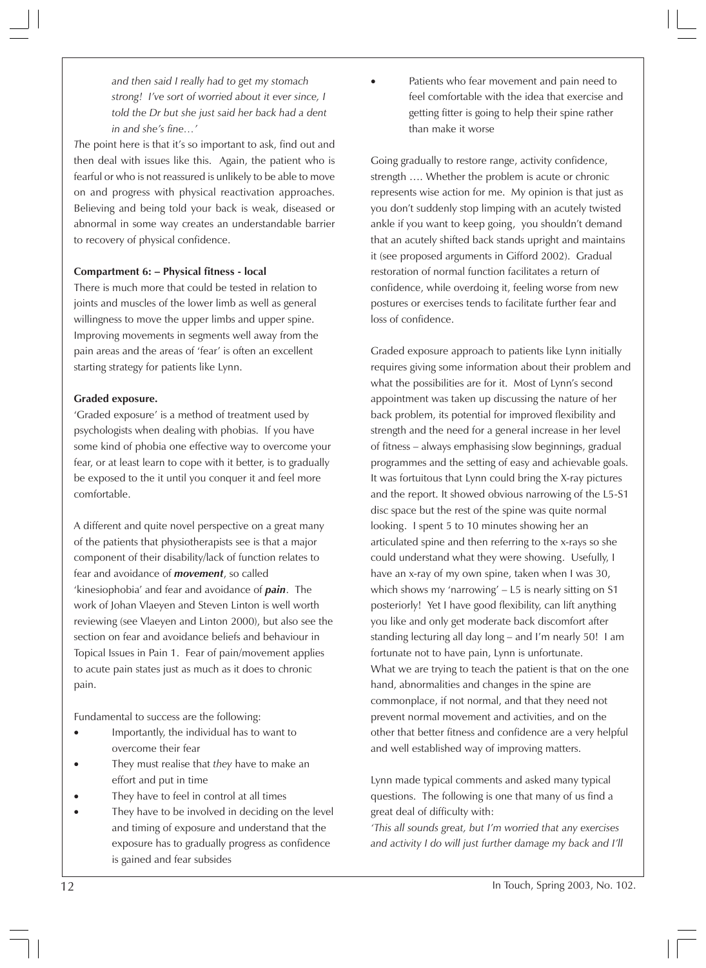*and then said I really had to get my stomach strong! I've sort of worried about it ever since, I told the Dr but she just said her back had a dent in and she's fine…'*

*T*he point here is that it's so important to ask, find out and then deal with issues like this. Again, the patient who is fearful or who is not reassured is unlikely to be able to move on and progress with physical reactivation approaches. Believing and being told your back is weak, diseased or abnormal in some way creates an understandable barrier to recovery of physical confidence.

#### **Compartment 6: – Physical fitness - local**

There is much more that could be tested in relation to joints and muscles of the lower limb as well as general willingness to move the upper limbs and upper spine. Improving movements in segments well away from the pain areas and the areas of 'fear' is often an excellent starting strategy for patients like Lynn.

#### **Graded exposure.**

'Graded exposure' is a method of treatment used by psychologists when dealing with phobias. If you have some kind of phobia one effective way to overcome your fear, or at least learn to cope with it better, is to gradually be exposed to the it until you conquer it and feel more comfortable.

A different and quite novel perspective on a great many of the patients that physiotherapists see is that a major component of their disability/lack of function relates to fear and avoidance of *movement*, so called 'kinesiophobia' and fear and avoidance of *pain*. The work of Johan Vlaeyen and Steven Linton is well worth reviewing (see Vlaeyen and Linton 2000), but also see the section on fear and avoidance beliefs and behaviour in Topical Issues in Pain 1. Fear of pain/movement applies to acute pain states just as much as it does to chronic pain.

Fundamental to success are the following:

- Importantly, the individual has to want to overcome their fear
- They must realise that *they* have to make an effort and put in time
- They have to feel in control at all times
- They have to be involved in deciding on the level and timing of exposure and understand that the exposure has to gradually progress as confidence is gained and fear subsides

Patients who fear movement and pain need to feel comfortable with the idea that exercise and getting fitter is going to help their spine rather than make it worse

Going gradually to restore range, activity confidence, strength …. Whether the problem is acute or chronic represents wise action for me. My opinion is that just as you don't suddenly stop limping with an acutely twisted ankle if you want to keep going, you shouldn't demand that an acutely shifted back stands upright and maintains it (see proposed arguments in Gifford 2002). Gradual restoration of normal function facilitates a return of confidence, while overdoing it, feeling worse from new postures or exercises tends to facilitate further fear and loss of confidence.

Graded exposure approach to patients like Lynn initially requires giving some information about their problem and what the possibilities are for it. Most of Lynn's second appointment was taken up discussing the nature of her back problem, its potential for improved flexibility and strength and the need for a general increase in her level of fitness – always emphasising slow beginnings, gradual programmes and the setting of easy and achievable goals. It was fortuitous that Lynn could bring the X-ray pictures and the report. It showed obvious narrowing of the L5-S1 disc space but the rest of the spine was quite normal looking. I spent 5 to 10 minutes showing her an articulated spine and then referring to the x-rays so she could understand what they were showing. Usefully, I have an x-ray of my own spine, taken when I was 30, which shows my 'narrowing' – L5 is nearly sitting on S1 posteriorly! Yet I have good flexibility, can lift anything you like and only get moderate back discomfort after standing lecturing all day long – and I'm nearly 50! I am fortunate not to have pain, Lynn is unfortunate. What we are trying to teach the patient is that on the one hand, abnormalities and changes in the spine are commonplace, if not normal, and that they need not prevent normal movement and activities, and on the other that better fitness and confidence are a very helpful and well established way of improving matters.

Lynn made typical comments and asked many typical questions. The following is one that many of us find a great deal of difficulty with:

*'This all sounds great, but I'm worried that any exercises and activity I do will just further damage my back and I'll*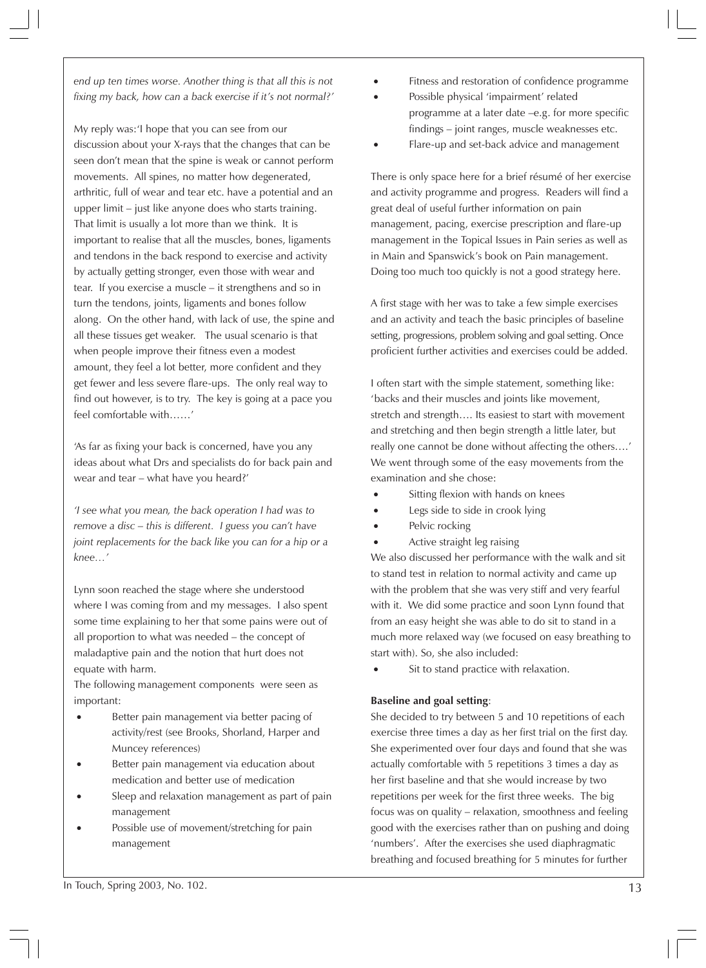*end up ten times worse. Another thing is that all this is not fixing my back, how can a back exercise if it's not normal?'*

My reply was:'I hope that you can see from our discussion about your X-rays that the changes that can be seen don't mean that the spine is weak or cannot perform movements. All spines, no matter how degenerated, arthritic, full of wear and tear etc. have a potential and an upper limit – just like anyone does who starts training. That limit is usually a lot more than we think. It is important to realise that all the muscles, bones, ligaments and tendons in the back respond to exercise and activity by actually getting stronger, even those with wear and tear. If you exercise a muscle – it strengthens and so in turn the tendons, joints, ligaments and bones follow along. On the other hand, with lack of use, the spine and all these tissues get weaker. The usual scenario is that when people improve their fitness even a modest amount, they feel a lot better, more confident and they get fewer and less severe flare-ups. The only real way to find out however, is to try. The key is going at a pace you feel comfortable with……'

'As far as fixing your back is concerned, have you any ideas about what Drs and specialists do for back pain and wear and tear – what have you heard?'

*'I see what you mean, the back operation I had was to remove a disc – this is different. I guess you can't have joint replacements for the back like you can for a hip or a knee…'*

Lynn soon reached the stage where she understood where I was coming from and my messages. I also spent some time explaining to her that some pains were out of all proportion to what was needed – the concept of maladaptive pain and the notion that hurt does not equate with harm.

The following management components were seen as important:

- Better pain management via better pacing of activity/rest (see Brooks, Shorland, Harper and Muncey references)
- Better pain management via education about medication and better use of medication
- Sleep and relaxation management as part of pain management
- Possible use of movement/stretching for pain management
- Fitness and restoration of confidence programme
- Possible physical 'impairment' related programme at a later date –e.g. for more specific findings – joint ranges, muscle weaknesses etc.
- Flare-up and set-back advice and management

There is only space here for a brief résumé of her exercise and activity programme and progress. Readers will find a great deal of useful further information on pain management, pacing, exercise prescription and flare-up management in the Topical Issues in Pain series as well as in Main and Spanswick's book on Pain management. Doing too much too quickly is not a good strategy here.

A first stage with her was to take a few simple exercises and an activity and teach the basic principles of baseline setting, progressions, problem solving and goal setting. Once proficient further activities and exercises could be added.

I often start with the simple statement, something like: 'backs and their muscles and joints like movement, stretch and strength…. Its easiest to start with movement and stretching and then begin strength a little later, but really one cannot be done without affecting the others….' We went through some of the easy movements from the examination and she chose:

- Sitting flexion with hands on knees
- Legs side to side in crook lying
- Pelvic rocking
- Active straight leg raising

We also discussed her performance with the walk and sit to stand test in relation to normal activity and came up with the problem that she was very stiff and very fearful with it. We did some practice and soon Lynn found that from an easy height she was able to do sit to stand in a much more relaxed way (we focused on easy breathing to start with). So, she also included:

Sit to stand practice with relaxation.

# **Baseline and goal setting**:

She decided to try between 5 and 10 repetitions of each exercise three times a day as her first trial on the first day. She experimented over four days and found that she was actually comfortable with 5 repetitions 3 times a day as her first baseline and that she would increase by two repetitions per week for the first three weeks. The big focus was on quality – relaxation, smoothness and feeling good with the exercises rather than on pushing and doing 'numbers'. After the exercises she used diaphragmatic breathing and focused breathing for 5 minutes for further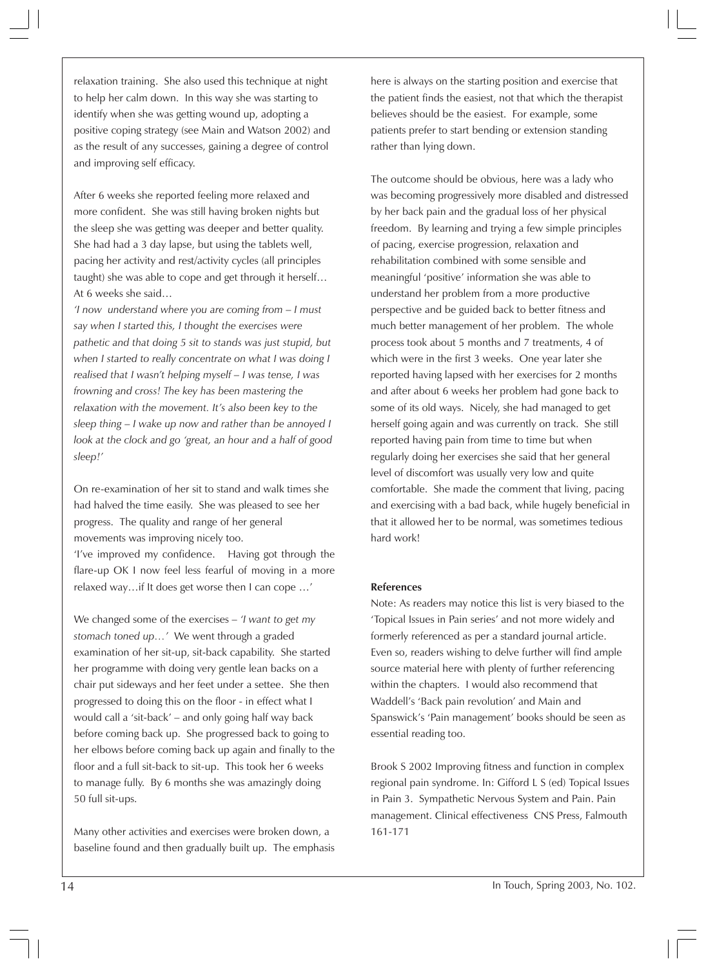relaxation training. She also used this technique at night to help her calm down. In this way she was starting to identify when she was getting wound up, adopting a positive coping strategy (see Main and Watson 2002) and as the result of any successes, gaining a degree of control and improving self efficacy.

After 6 weeks she reported feeling more relaxed and more confident. She was still having broken nights but the sleep she was getting was deeper and better quality. She had had a 3 day lapse, but using the tablets well, pacing her activity and rest/activity cycles (all principles taught) she was able to cope and get through it herself… At 6 weeks she said…

*'I now understand where you are coming from – I must say when I started this, I thought the exercises were pathetic and that doing 5 sit to stands was just stupid, but when I started to really concentrate on what I was doing I realised that I wasn't helping myself – I was tense, I was frowning and cross! The key has been mastering the relaxation with the movement. It's also been key to the sleep thing – I wake up now and rather than be annoyed I look at the clock and go 'great, an hour and a half of good sleep!'*

On re-examination of her sit to stand and walk times she had halved the time easily. She was pleased to see her progress. The quality and range of her general movements was improving nicely too.

'I've improved my confidence. Having got through the flare-up OK I now feel less fearful of moving in a more relaxed way…if It does get worse then I can cope …'

We changed some of the exercises – *'I want to get my stomach toned up…'* We went through a graded examination of her sit-up, sit-back capability. She started her programme with doing very gentle lean backs on a chair put sideways and her feet under a settee. She then progressed to doing this on the floor - in effect what I would call a 'sit-back' – and only going half way back before coming back up. She progressed back to going to her elbows before coming back up again and finally to the floor and a full sit-back to sit-up. This took her 6 weeks to manage fully. By 6 months she was amazingly doing 50 full sit-ups.

Many other activities and exercises were broken down, a baseline found and then gradually built up. The emphasis

here is always on the starting position and exercise that the patient finds the easiest, not that which the therapist believes should be the easiest. For example, some patients prefer to start bending or extension standing rather than lying down.

The outcome should be obvious, here was a lady who was becoming progressively more disabled and distressed by her back pain and the gradual loss of her physical freedom. By learning and trying a few simple principles of pacing, exercise progression, relaxation and rehabilitation combined with some sensible and meaningful 'positive' information she was able to understand her problem from a more productive perspective and be guided back to better fitness and much better management of her problem. The whole process took about 5 months and 7 treatments, 4 of which were in the first 3 weeks. One year later she reported having lapsed with her exercises for 2 months and after about 6 weeks her problem had gone back to some of its old ways. Nicely, she had managed to get herself going again and was currently on track. She still reported having pain from time to time but when regularly doing her exercises she said that her general level of discomfort was usually very low and quite comfortable. She made the comment that living, pacing and exercising with a bad back, while hugely beneficial in that it allowed her to be normal, was sometimes tedious hard work!

#### **References**

Note: As readers may notice this list is very biased to the 'Topical Issues in Pain series' and not more widely and formerly referenced as per a standard journal article. Even so, readers wishing to delve further will find ample source material here with plenty of further referencing within the chapters. I would also recommend that Waddell's 'Back pain revolution' and Main and Spanswick's 'Pain management' books should be seen as essential reading too.

Brook S 2002 Improving fitness and function in complex regional pain syndrome. In: Gifford L S (ed) Topical Issues in Pain 3. Sympathetic Nervous System and Pain. Pain management. Clinical effectiveness CNS Press, Falmouth 161-171